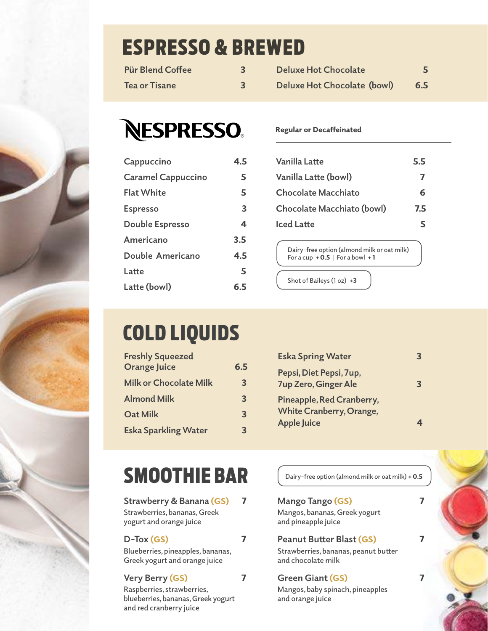# ESPRESSO & BREWED

| <b>Pür Blend Coffee</b> | <b>Deluxe Hot Chocolate</b> |     |
|-------------------------|-----------------------------|-----|
| Tea or Tisane           | Deluxe Hot Chocolate (bowl) | 6.5 |

# **NESPRESSO.**

| Cappuccino                | 4.5 |
|---------------------------|-----|
| <b>Caramel Cappuccino</b> | 5   |
| <b>Flat White</b>         | 5   |
| <b>Espresso</b>           | 3   |
| Double Espresso           | 4   |
| Americano                 | 3.5 |
| Double Americano          | 4.5 |
| Latte                     | 5   |
| Latte (bowl)              | 6.5 |

#### Regular or Decaffeinated

| Vanilla Latte              | 5.5 |
|----------------------------|-----|
| Vanilla Latte (bowl)       | 7   |
| <b>Chocolate Macchiato</b> | 6   |
| Chocolate Macchiato (bowl) | 7.5 |
| <b>Iced Latte</b>          | 5   |

**Dairy-free option (almond milk or oat milk) For a cup** + 0.5 **For a bowl** + 1

**Shot of Baileys (1 oz)** +3

# COLD LIQUIDS

| <b>Freshly Squeezed</b>       |                         |
|-------------------------------|-------------------------|
| <b>Orange Juice</b>           | 6.5                     |
| <b>Milk or Chocolate Milk</b> | 3                       |
| <b>Almond Milk</b>            | $\overline{\mathbf{3}}$ |
| <b>Oat Milk</b>               | 3                       |
| <b>Eska Sparkling Water</b>   | З                       |

| <b>Eska Spring Water</b>                                                           |   |
|------------------------------------------------------------------------------------|---|
| Pepsi, Diet Pepsi, 7up,<br><b>7up Zero, Ginger Ale</b>                             | 3 |
| Pineapple, Red Cranberry,<br><b>White Cranberry, Orange,</b><br><b>Apple Juice</b> |   |

## SMOOTHIE BAR

**Strawberry & Banana** (GS)7 **Strawberries, bananas, Greek yogurt and orange juice**

**D-Tox** (GS)7 **Blueberries, pineapples, bananas, Greek yogurt and orange juice**

### **Very Berry** (GS)7

**Raspberries, strawberries, blueberries, bananas, Greek yogurt and red cranberry juice**

**Dairy-free option (almond milk or oat milk)** + 0.5

#### **Mango Tango** (GS)7

**Mangos, bananas, Greek yogurt and pineapple juice**

## **Peanut Butter Blast** (GS)7

**Strawberries, bananas, peanut butter and chocolate milk**

### **Green Giant** (GS)7

**Mangos, baby spinach, pineapples and orange juice**